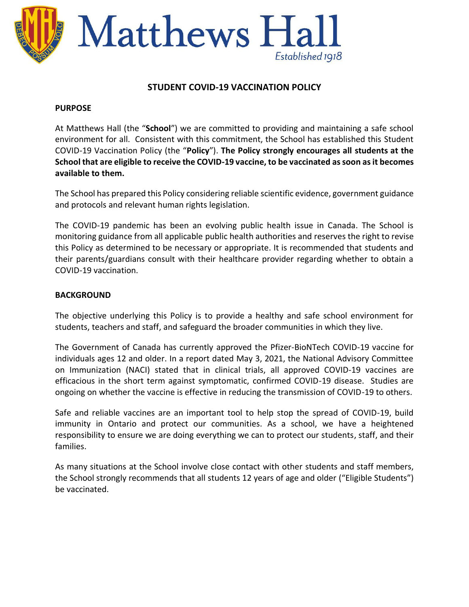

# **STUDENT COVID-19 VACCINATION POLICY**

#### **PURPOSE**

At Matthews Hall (the "**School**") we are committed to providing and maintaining a safe school environment for all. Consistent with this commitment, the School has established this Student COVID-19 Vaccination Policy (the "**Policy**"). **The Policy strongly encourages all students at the School that are eligible to receive the COVID-19 vaccine, to be vaccinated as soon as it becomes available to them.** 

The School has prepared this Policy considering reliable scientific evidence, government guidance and protocols and relevant human rights legislation.

The COVID-19 pandemic has been an evolving public health issue in Canada. The School is monitoring guidance from all applicable public health authorities and reserves the right to revise this Policy as determined to be necessary or appropriate. It is recommended that students and their parents/guardians consult with their healthcare provider regarding whether to obtain a COVID-19 vaccination.

## **BACKGROUND**

The objective underlying this Policy is to provide a healthy and safe school environment for students, teachers and staff, and safeguard the broader communities in which they live.

The Government of Canada has currently approved the Pfizer-BioNTech COVID-19 vaccine for individuals ages 12 and older. In a report dated May 3, 2021, the National Advisory Committee on Immunization (NACI) stated that in clinical trials, all approved COVID-19 vaccines are efficacious in the short term against symptomatic, confirmed COVID-19 disease. Studies are ongoing on whether the vaccine is effective in reducing the transmission of COVID-19 to others.

Safe and reliable vaccines are an important tool to help stop the spread of COVID-19, build immunity in Ontario and protect our communities. As a school, we have a heightened responsibility to ensure we are doing everything we can to protect our students, staff, and their families.

As many situations at the School involve close contact with other students and staff members, the School strongly recommends that all students 12 years of age and older ("Eligible Students") be vaccinated.